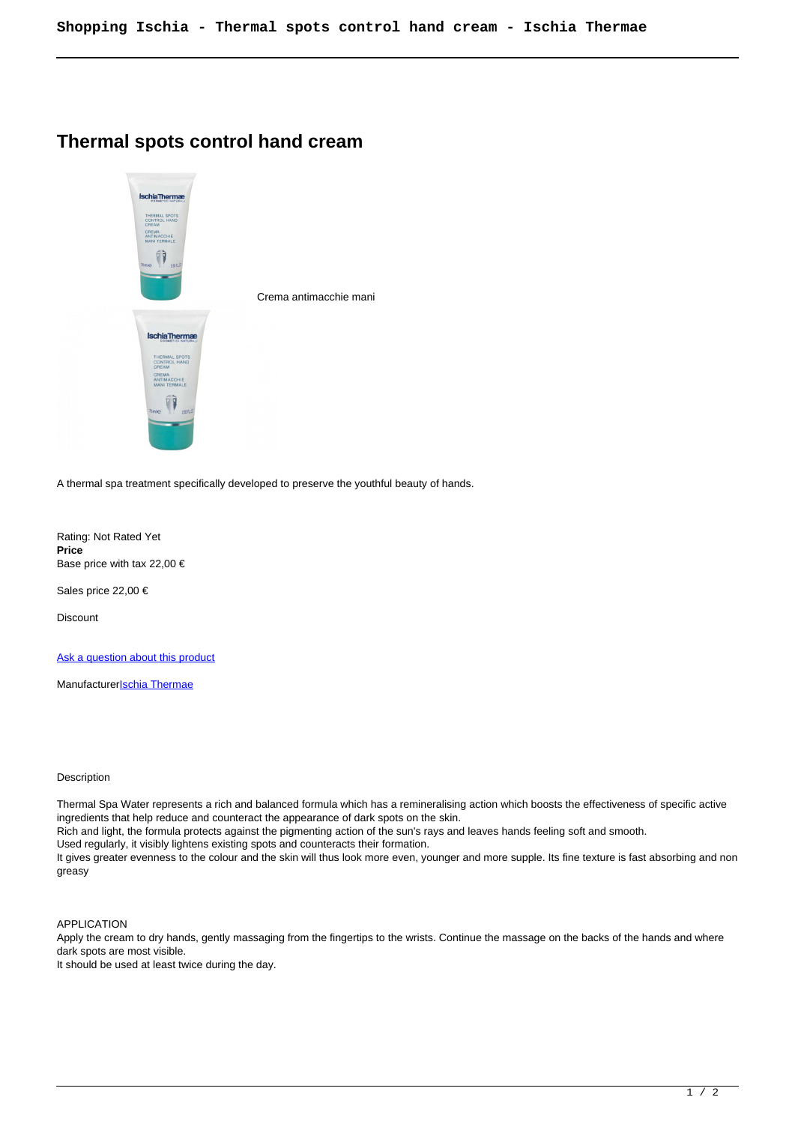## **Thermal spots control hand cream**



A thermal spa treatment specifically developed to preserve the youthful beauty of hands.

Rating: Not Rated Yet **Price**  Base price with tax 22,00 €

Sales price 22,00 €

**Discount** 

[Ask a question about this product](https://shop.ischia.it/index.php?option=com_virtuemart&view=productdetails&task=askquestion&virtuemart_product_id=231&virtuemart_category_id=5&tmpl=component)

Manufacturer**[Ischia Thermae](https://shop.ischia.it/index.php?option=com_virtuemart&view=manufacturer&virtuemart_manufacturer_id=4&tmpl=component)** 

## Description

Thermal Spa Water represents a rich and balanced formula which has a remineralising action which boosts the effectiveness of specific active ingredients that help reduce and counteract the appearance of dark spots on the skin.

Rich and light, the formula protects against the pigmenting action of the sun's rays and leaves hands feeling soft and smooth.

Used regularly, it visibly lightens existing spots and counteracts their formation.

It gives greater evenness to the colour and the skin will thus look more even, younger and more supple. Its fine texture is fast absorbing and non greasy

APPLICATION

Apply the cream to dry hands, gently massaging from the fingertips to the wrists. Continue the massage on the backs of the hands and where dark spots are most visible.

It should be used at least twice during the day.